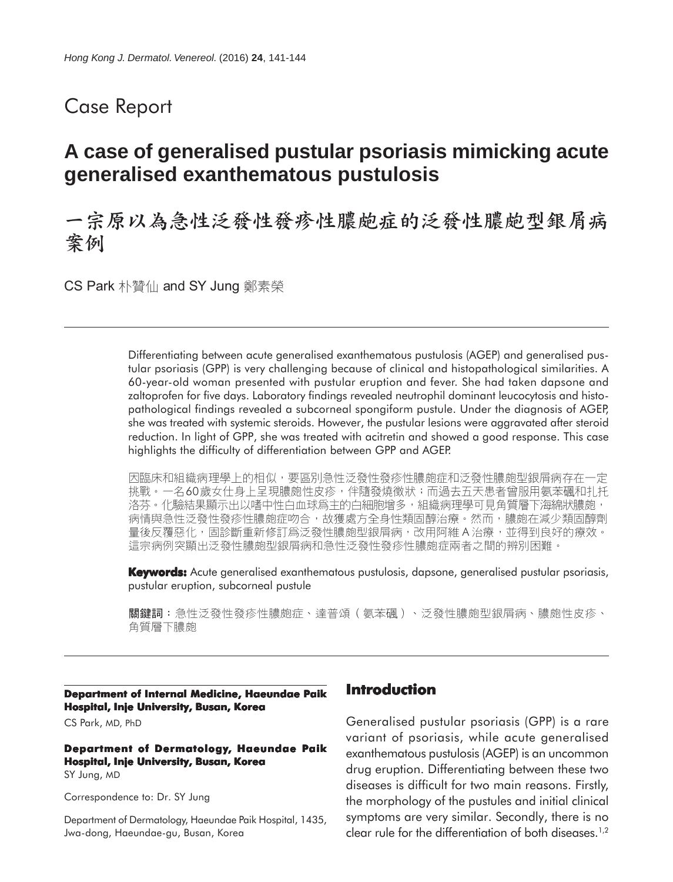# Case Report

# **A case of generalised pustular psoriasis mimicking acute generalised exanthematous pustulosis**

# 一宗原以為急性泛發性發疹性膿皰症的泛發性膿皰型銀屑病 案例

CS Park 朴贊仙 and SY Jung 鄭素榮

Differentiating between acute generalised exanthematous pustulosis (AGEP) and generalised pustular psoriasis (GPP) is very challenging because of clinical and histopathological similarities. A 60-year-old woman presented with pustular eruption and fever. She had taken dapsone and zaltoprofen for five days. Laboratory findings revealed neutrophil dominant leucocytosis and histopathological findings revealed a subcorneal spongiform pustule. Under the diagnosis of AGEP, she was treated with systemic steroids. However, the pustular lesions were aggravated after steroid reduction. In light of GPP, she was treated with acitretin and showed a good response. This case highlights the difficulty of differentiation between GPP and AGEP.

因臨床和組織病理學上的相似,要區別急性泛發性發疹性膿皰症和泛發性膿皰型銀屑病存在一定 挑戰。一名60歲女仕身上呈現膿皰性皮疹,伴隨發燒徵狀;而過去五天患者曾服用氨苯碸和扎托 洛芬。化驗結果顯示出以嗜中性白血球爲主的白細胞增多,組織病理學可見角質層下海綿狀膿皰, 病情與急性泛發性發疹性膿皰症吻合,故獲處方全身性類固醇治療。然而,膿皰在減少類固醇劑 量後反覆惡化,固診斷重新修訂爲泛發性膿皰型銀屑病,改用阿維A治療,並得到良好的療效。 這宗病例突顯出泛發性膿皰型銀屑病和急性泛發性發疹性膿皰症兩者之間的辨別困難。

**Keywords:** Acute generalised exanthematous pustulosis, dapsone, generalised pustular psoriasis, pustular eruption, subcorneal pustule

關鍵詞:急性泛發性發疹性膿皰症、達普頌(氨苯碸)、泛發性膿皰型銀屑病、膿皰性皮疹、 角質層下膿皰

**Department of Internal Medicine, Haeundae Paik Hospital, Inje University, Busan, Korea**

CS Park, MD, PhD

#### **Department of Dermatology, Haeundae Paik Hospital, Inje University, Busan, Korea** SY Jung, MD

Correspondence to: Dr. SY Jung

Department of Dermatology, Haeundae Paik Hospital, 1435, Jwa-dong, Haeundae-gu, Busan, Korea

### **Introduction**

Generalised pustular psoriasis (GPP) is a rare variant of psoriasis, while acute generalised exanthematous pustulosis (AGEP) is an uncommon drug eruption. Differentiating between these two diseases is difficult for two main reasons. Firstly, the morphology of the pustules and initial clinical symptoms are very similar. Secondly, there is no clear rule for the differentiation of both diseases.<sup>1,2</sup>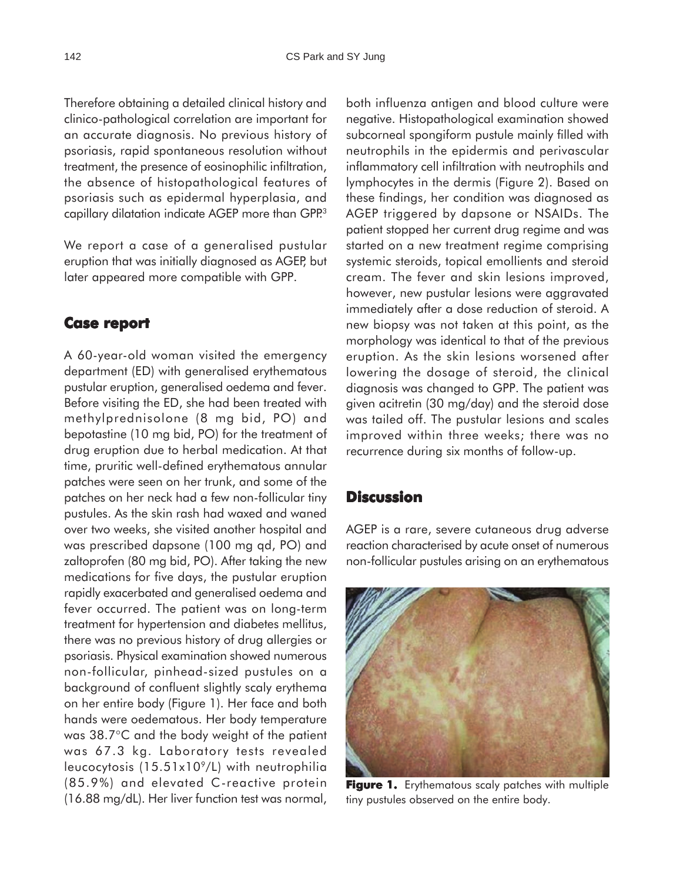Therefore obtaining a detailed clinical history and clinico-pathological correlation are important for an accurate diagnosis. No previous history of psoriasis, rapid spontaneous resolution without treatment, the presence of eosinophilic infiltration, the absence of histopathological features of psoriasis such as epidermal hyperplasia, and capillary dilatation indicate AGEP more than GPP.<sup>3</sup>

We report a case of a generalised pustular eruption that was initially diagnosed as AGEP, but later appeared more compatible with GPP.

### **Case report report**

A 60-year-old woman visited the emergency department (ED) with generalised erythematous pustular eruption, generalised oedema and fever. Before visiting the ED, she had been treated with methylprednisolone (8 mg bid, PO) and bepotastine (10 mg bid, PO) for the treatment of drug eruption due to herbal medication. At that time, pruritic well-defined erythematous annular patches were seen on her trunk, and some of the patches on her neck had a few non-follicular tiny pustules. As the skin rash had waxed and waned over two weeks, she visited another hospital and was prescribed dapsone (100 mg qd, PO) and zaltoprofen (80 mg bid, PO). After taking the new medications for five days, the pustular eruption rapidly exacerbated and generalised oedema and fever occurred. The patient was on long-term treatment for hypertension and diabetes mellitus, there was no previous history of drug allergies or psoriasis. Physical examination showed numerous non-follicular, pinhead-sized pustules on a background of confluent slightly scaly erythema on her entire body (Figure 1). Her face and both hands were oedematous. Her body temperature was 38.7°C and the body weight of the patient was 67.3 kg. Laboratory tests revealed leucocytosis (15.51x10<sup>9</sup>/L) with neutrophilia (85.9%) and elevated C-reactive protein (16.88 mg/dL). Her liver function test was normal,

both influenza antigen and blood culture were negative. Histopathological examination showed subcorneal spongiform pustule mainly filled with neutrophils in the epidermis and perivascular inflammatory cell infiltration with neutrophils and lymphocytes in the dermis (Figure 2). Based on these findings, her condition was diagnosed as AGEP triggered by dapsone or NSAIDs. The patient stopped her current drug regime and was started on a new treatment regime comprising systemic steroids, topical emollients and steroid cream. The fever and skin lesions improved, however, new pustular lesions were aggravated immediately after a dose reduction of steroid. A new biopsy was not taken at this point, as the morphology was identical to that of the previous eruption. As the skin lesions worsened after lowering the dosage of steroid, the clinical diagnosis was changed to GPP. The patient was given acitretin (30 mg/day) and the steroid dose was tailed off. The pustular lesions and scales improved within three weeks; there was no recurrence during six months of follow-up.

### **Discussion**

AGEP is a rare, severe cutaneous drug adverse reaction characterised by acute onset of numerous non-follicular pustules arising on an erythematous



Figure 1. Erythematous scaly patches with multiple tiny pustules observed on the entire body.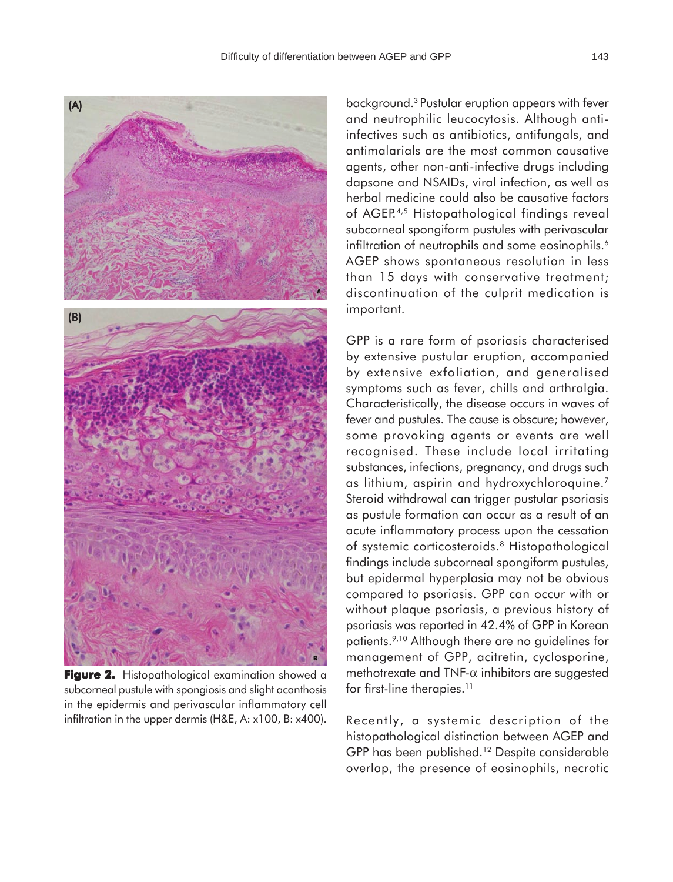

**Figure 2.** Histopathological examination showed a subcorneal pustule with spongiosis and slight acanthosis in the epidermis and perivascular inflammatory cell infiltration in the upper dermis (H&E, A: x100, B: x400).

background.3 Pustular eruption appears with fever and neutrophilic leucocytosis. Although antiinfectives such as antibiotics, antifungals, and antimalarials are the most common causative agents, other non-anti-infective drugs including dapsone and NSAIDs, viral infection, as well as herbal medicine could also be causative factors of AGEP.4,5 Histopathological findings reveal subcorneal spongiform pustules with perivascular infiltration of neutrophils and some eosinophils.<sup>6</sup> AGEP shows spontaneous resolution in less than 15 days with conservative treatment; discontinuation of the culprit medication is important.

GPP is a rare form of psoriasis characterised by extensive pustular eruption, accompanied by extensive exfoliation, and generalised symptoms such as fever, chills and arthralgia. Characteristically, the disease occurs in waves of fever and pustules. The cause is obscure; however, some provoking agents or events are well recognised. These include local irritating substances, infections, pregnancy, and drugs such as lithium, aspirin and hydroxychloroquine.7 Steroid withdrawal can trigger pustular psoriasis as pustule formation can occur as a result of an acute inflammatory process upon the cessation of systemic corticosteroids.8 Histopathological findings include subcorneal spongiform pustules, but epidermal hyperplasia may not be obvious compared to psoriasis. GPP can occur with or without plaque psoriasis, a previous history of psoriasis was reported in 42.4% of GPP in Korean patients.9,10 Although there are no guidelines for management of GPP, acitretin, cyclosporine, methotrexate and TNF- $\alpha$  inhibitors are suggested for first-line therapies.<sup>11</sup>

Recently, a systemic description of the histopathological distinction between AGEP and GPP has been published.<sup>12</sup> Despite considerable overlap, the presence of eosinophils, necrotic